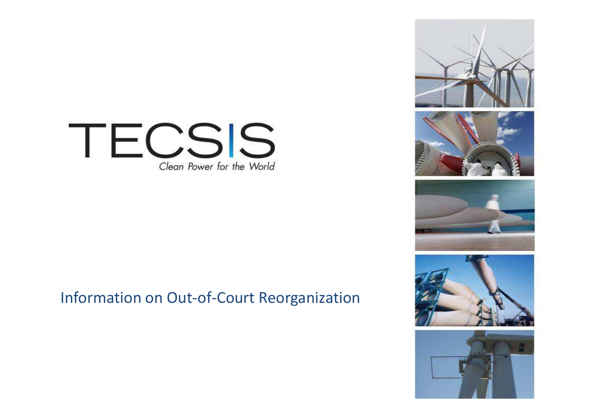

# Information on Out-of-Court Reorganization



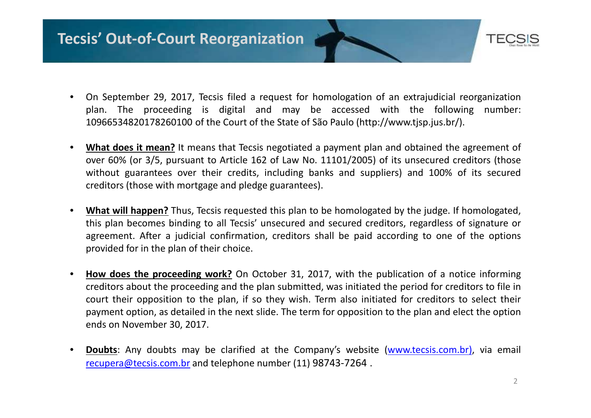# **Tecsis' Out-of-Court Reorganization**



- • On September 29, 2017, Tecsis filed <sup>a</sup> request for homologation of an extrajudicial reorganization plan. The proceeding is digital and may be accessed with the following number: <sup>10966534820178260100</sup> of the Court of the State of São Paulo (http://www.tjsp.jus.br/).
- • **What does it mean?** It means that Tecsis negotiated <sup>a</sup> payment plan and obtained the agreement of over 60% (or 3/5, pursuant to Article <sup>162</sup> of Law No. 11101/2005) of its unsecured creditors (those without guarantees over their credits, including banks and suppliers) and 100% of its secured creditors (those with mortgage and pledge guarantees).
- • **What will happen?** Thus, Tecsis requested this plan to be homologated by the judge. If homologated, this plan becomes binding to all Tecsis' unsecured and secured creditors, regardless of signature or agreement. After <sup>a</sup> judicial confirmation, creditors shall be paid according to one of the options provided for in the plan of their choice.
- • **How does the proceeding work?** On October 31, 2017, with the publication of <sup>a</sup> notice informing creditors about the proceeding and the plan submitted, was initiated the period for creditors to file in court their opposition to the plan, if so they wish. Term also initiated for creditors to select their payment option, as detailed in the next slide. The term for opposition to the plan and elect the optionends on November 30, 2017.
- • **Doubts**: Any doubts may be clarified at the Company's website (www.tecsis.com.br), via email recupera@tecsis.com.br and telephone number (11) 98743-7264 .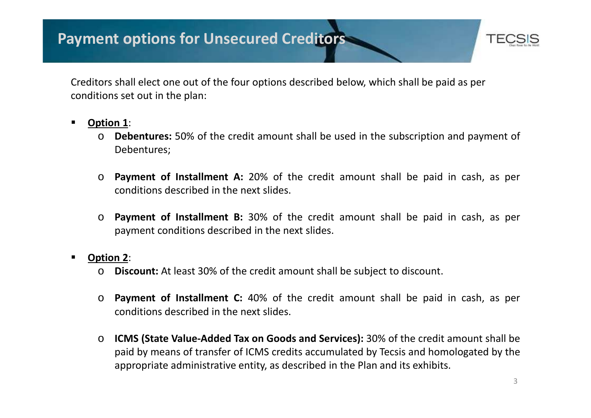# **Payment options for Unsecured Creditors**



Creditors shall elect one out of the four options described below, which shall be paid as per conditions set out in the plan:

- **Option <sup>1</sup>**:
	- o **Debentures:** 50% of the credit amount shall be used in the subscription and payment of Debentures;
	- o **Payment of Installment A:** 20% of the credit amount shall be paid in cash, as per conditions described in the next slides.
	- o **Payment of Installment B:** 30% of the credit amount shall be paid in cash, as per payment conditions described in the next slides.
- **Option <sup>2</sup>**:
	- o**Discount:** At least 30% of the credit amount shall be subject to discount.
	- o **Payment of Installment C:** 40% of the credit amount shall be paid in cash, as per conditions described in the next slides.
	- o **ICMS (State Value-Added Tax on Goods and Services):** 30% of the credit amount shall be paid by means of transfer of ICMS credits accumulated by Tecsis and homologated by the appropriate administrative entity, as described in the Plan and its exhibits.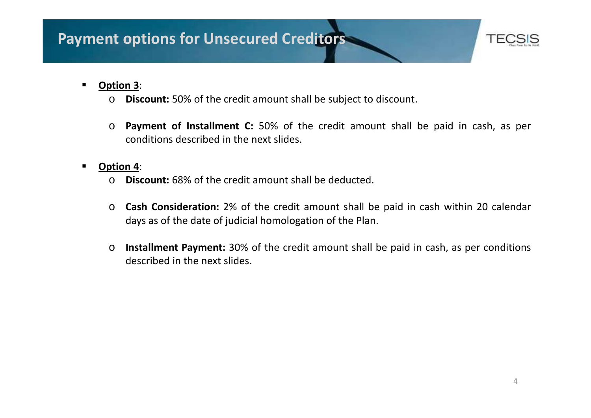

#### $\blacksquare$ **Option <sup>3</sup>**:

- o**Discount:** 50% of the credit amount shall be subject to discount.
- o **Payment of Installment C:** 50% of the credit amount shall be paid in cash, as per conditions described in the next slides.

#### $\blacksquare$ **Option <sup>4</sup>**:

- o**Discount:** 68% of the credit amount shall be deducted.
- o **Cash Consideration:** 2% of the credit amount shall be paid in cash within <sup>20</sup> calendar days as of the date of judicial homologation of the Plan.
- o **Installment Payment:** 30% of the credit amount shall be paid in cash, as per conditions described in the next slides.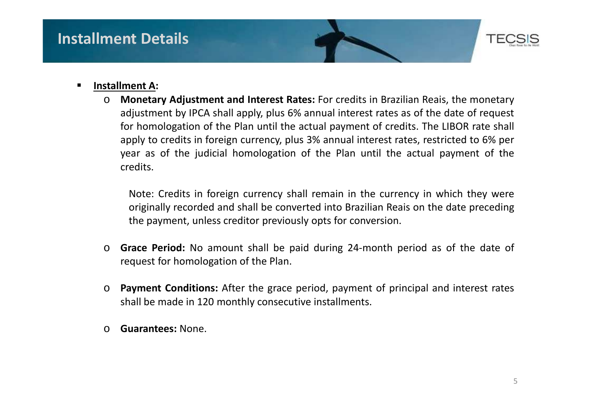

### **Installment A:**

o **Monetary Adjustment and Interest Rates:** For credits in Brazilian Reais, the monetary adjustment by IPCA shall apply, plus 6% annual interest rates as of the date of request for homologation of the Plan until the actual payment of credits. The LIBOR rate shall apply to credits in foreign currency, plus 3% annual interest rates, restricted to 6% per year as of the judicial homologation of the Plan until the actual payment of the credits.

- o **Grace Period:** No amount shall be paid during 24-month period as of the date of request for homologation of the Plan.
- o **Payment Conditions:** After the grace period, payment of principal and interest rates shall be made in <sup>120</sup> monthly consecutive installments.
- o**Guarantees:** None.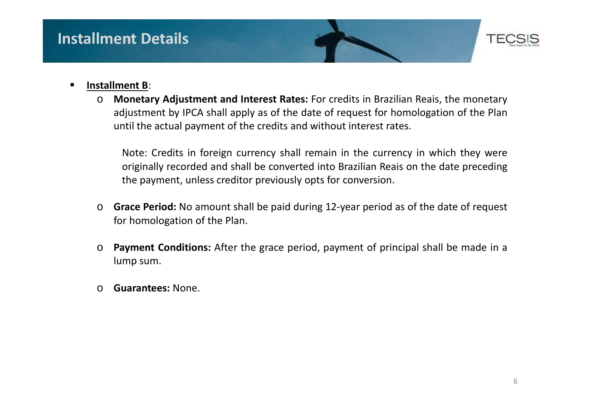

#### ▉ **Installment <sup>B</sup>**:

o **Monetary Adjustment and Interest Rates:** For credits in Brazilian Reais, the monetary adjustment by IPCA shall apply as of the date of request for homologation of the Planuntil the actual payment of the credits and without interest rates.

- o **Grace Period:** No amount shall be paid during 12-year period as of the date of request for homologation of the Plan.
- o**Payment Conditions:** After the grace period, payment of principal shall be made in a lump sum.
- o**Guarantees:** None.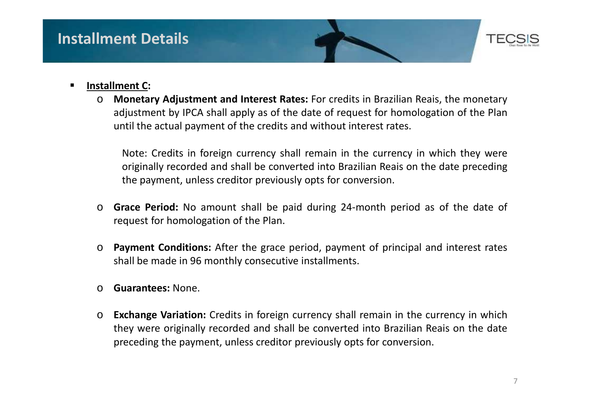

#### ■ **Installment C:**

o **Monetary Adjustment and Interest Rates:** For credits in Brazilian Reais, the monetary adjustment by IPCA shall apply as of the date of request for homologation of the Planuntil the actual payment of the credits and without interest rates.

- o **Grace Period:** No amount shall be paid during 24-month period as of the date of request for homologation of the Plan.
- o **Payment Conditions:** After the grace period, payment of principal and interest rates shall be made in <sup>96</sup> monthly consecutive installments.
- o**Guarantees:** None.
- o**Exchange Variation:** Credits in foreign currency shall remain in the currency in which they were originally recorded and shall be converted into Brazilian Reais on the date preceding the payment, unless creditor previously opts for conversion.